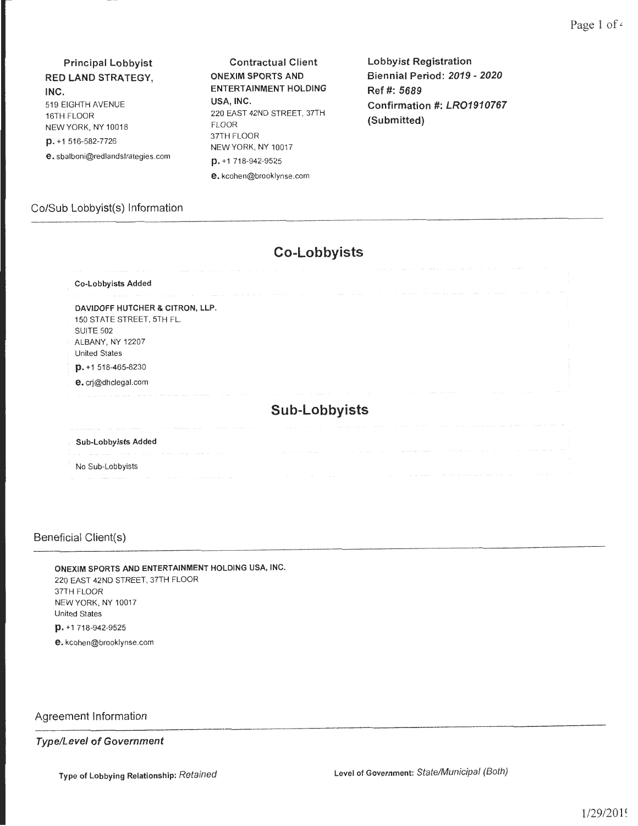Page 1 of  $\overline{ }$ 

Principal Lobbyist RED LAND STRATEGY, INC. 519 EIGHTH AVENUE 16TH FLOOR NEW YORK, NY 10018 p. +1 516-582-7726 e. sbalboni@redlandstrategies.com

Contractual Client ONEXIM SPORTS AND ENTERTAINMENT HOLDING USA, INC. 220 EAST 42ND STREET, 37TH FLOOR 37TH FLOOR NEW YORK, NY 10017 p. +1 718-942-9525 e. kcohen@brooklynse.com

Lobbyist Registration Biennial Period: 2019- 2020 Ref#: 5689 Confirmation #: LRO1910767 (Submitted)

### Co/Sub Lobbyist(s) Information

| <b>Co-Lobbyists Added</b>                                                                                                                                                       |               |
|---------------------------------------------------------------------------------------------------------------------------------------------------------------------------------|---------------|
| DAVIDOFF HUTCHER & CITRON, LLP.<br>150 STATE STREET, 5TH FL.<br><b>SUITE 502</b><br>ALBANY, NY 12207<br><b>United States</b><br>$p. + 1518 - 465 - 8230$<br>e. crj@dhclegal.com |               |
|                                                                                                                                                                                 | Sub-Lobbyists |
| <b>Sub-Lobbyists Added</b>                                                                                                                                                      |               |
| No Sub-Lobbyists                                                                                                                                                                | $\sim$        |

**Co-Lobbyists** 

Beneficial Client(s)

ONEXIM SPORTS AND ENTERTAINMENT HOLDING USA, INC. 220 EAST 42ND STREET, 37TH FLOOR 37TH FLOOR NEW YORK, NY 10017 United States p. +1 718-942-9525 e. kcohen@brooklynse.com

Agreement Information

Type/Level of Government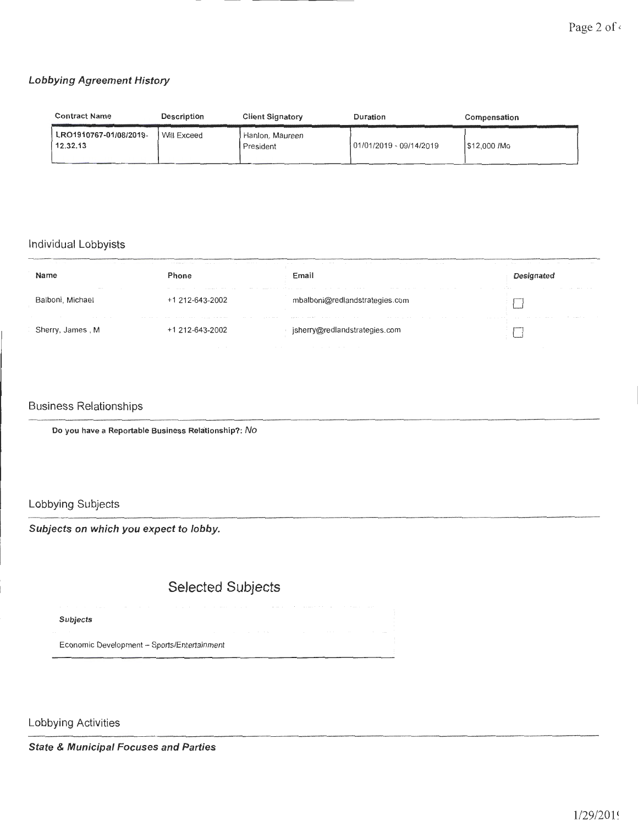### Lobbying Agreement History

| <b>Contract Name</b>               | Description | <b>Client Signatory</b>      | Duration                | Compensation |
|------------------------------------|-------------|------------------------------|-------------------------|--------------|
| LRO1910767-01/08/2019-<br>12.32.13 | Will Exceed | Hanlon, Maureen<br>President | 01/01/2019 - 09/14/2019 | S12,000 /Mo  |

#### Individual Lobbyists

| the same of the con-<br>Name                                     | Phone           | the contract of the company of the company of the company of the company of the company of the company of the company of the company of the company of the company of the company of the company of the company of the company<br>Email                                             | <b><i><u>PARK 1</u></i></b><br>the contract of the contract of the contract of the contract of the contract of the contract of the contract of |
|------------------------------------------------------------------|-----------------|-------------------------------------------------------------------------------------------------------------------------------------------------------------------------------------------------------------------------------------------------------------------------------------|------------------------------------------------------------------------------------------------------------------------------------------------|
| the control of the control of the control of<br>Balboni, Michael | +1 212-643-2002 | the contract of the contract of the contract of the contract of the contract of the contract of the contract of the contract of the contract of the contract of the contract of the contract of the contract of the contract o<br>ilboni@redlandstrategies.com<br><b>Contractor</b> | the contract of the con-                                                                                                                       |
| the state of the con-<br>Sherry, James, M                        | +1 212-643-2002 | and the second contract of the second complete the contract of the second complete the second contract of the second contract of the second contract of the second contract of the second contract of the second contract of t<br>.<br>jsherry@redlandstrategies.com                |                                                                                                                                                |

### Business Relationships

Do you have a Reportable Business Relationship?: No

### Lobbying Subjects

Subjects on which you expect to lobby.

## Selected Subjects

Subjects

Economic Development- Sports/Entertainment

Lobbying Activities

State & Municipal Focuses and Parties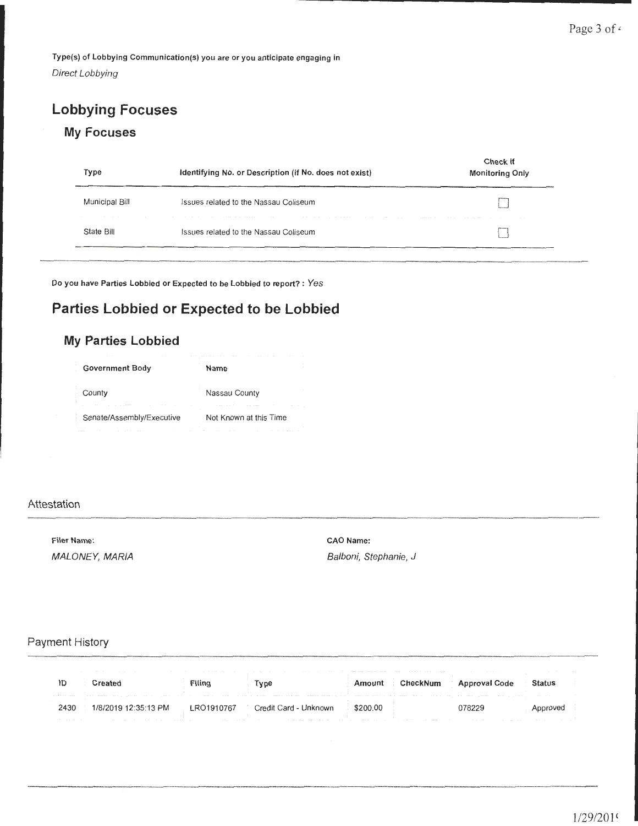Type(s) of Lobbying Communication(s) you are or you anticipate engaging in

Direct Lobbying

# **Lobbying Focuses**

### **My Focuses**

| Type                                                  | Identifying No. or Description (if No. does not exist)                                                                                                                                               | Check if<br><b>Monitoring Only</b>                                              |
|-------------------------------------------------------|------------------------------------------------------------------------------------------------------------------------------------------------------------------------------------------------------|---------------------------------------------------------------------------------|
| Municipal Bill<br>the contract of the contract of the | Issues related to the Nassau Coliseum<br>the contract of the contract of the contract of the contract of the contract of the contract of the contract of<br>the contract of the contract of the con- | the contract of the contract of the contract of the contract of the contract of |
| State Bill                                            | Issues related to the Nassau Coliseum                                                                                                                                                                |                                                                                 |

Do you have Parties Lobbied or Expected to be Lobbied to report? : Yes

# **Parties Lobbied or Expected to be Lobbied**

### **My Parties Lobbied**

| Government Body           | Name                   |
|---------------------------|------------------------|
| County                    | Nassau County          |
| Senate/Assembly/Executive | Not Known at this Time |

### Attestation

Filer Name: CAO Name:

MALONEY, MARIA Balboni, Stephanie, *J* 

### Payment History

| the contract of the contract of the contract of the contract of the contract of the contract of the contract of<br>the company of the company of the company of the company of the company of the company of the company of the company of the company of the company of the company of the company of the company of the company of the company | the contract of the contract of the contract of the contract of the contract of<br>the contract of the contract of the contract of the contract of the contract of |
|--------------------------------------------------------------------------------------------------------------------------------------------------------------------------------------------------------------------------------------------------------------------------------------------------------------------------------------------------|--------------------------------------------------------------------------------------------------------------------------------------------------------------------|
|                                                                                                                                                                                                                                                                                                                                                  | <b>\pproval Code</b>                                                                                                                                               |
| THE RESIDENCE IN THE RESIDENCE OF THE RESIDENCE IN THE RESIDENCE INTO THE RESIDENCE IN THE RESIDENCE OF THE RESIDENCE IN THE RESIDENCE IN THE RESIDENCE IN THE RESIDENCE IN THE RESIDENCE IN THE RESIDENCE IN THE RESIDENCE IN                                                                                                                   |                                                                                                                                                                    |
| $35.13$ PM                                                                                                                                                                                                                                                                                                                                       |                                                                                                                                                                    |